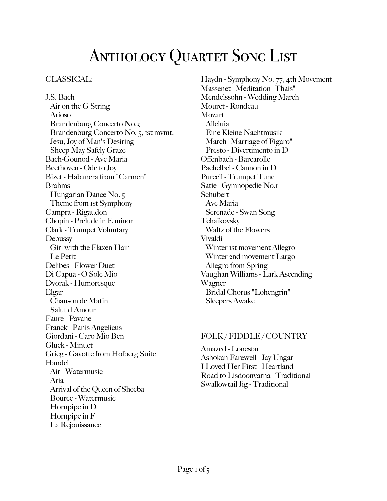# ANTHOLOGY QUARTET SONG LIST

# CLASSICAL:

J.S. Bach Air on the G String Arioso Brandenburg Concerto No.3 Brandenburg Concerto No. 5, 1st mvmt. Jesu, Joy of Man's Desiring Sheep May Safely Graze Bach-Gounod - Ave Maria Beethoven - Ode to Joy Bizet - Habanera from "Carmen" Brahms Hungarian Dance No. 5 Theme from 1st Symphony Campra - Rigaudon Chopin - Prelude in E minor Clark - Trumpet Voluntary **Debussy**  Girl with the Flaxen Hair Le Petit Delibes - Flower Duet Di Capua - O Sole Mio Dvorak - Humoresque Elgar Chanson de Matin Salut d'Amour Faure - Pavane Franck - Panis Angelicus Giordani - Caro Mio Ben Gluck - Minuet Grieg - Gavotte from Holberg Suite Handel Air - Watermusic Aria Arrival of the Queen of Sheeba Bouree - Watermusic Hornpipe in D Hornpipe in F La Rejouissance

Haydn - Symphony No. 77, 4th Movement Massenet - Meditation "Thais" Mendelssohn - Wedding March Mouret - Rondeau **Mozart** Alleluia Eine Kleine Nachtmusik March "Marriage of Figaro" Presto - Divertimento in D Offenbach - Barcarolle Pachelbel - Cannon in D Purcell - Trumpet Tune Satie - Gymnopedie No.1 **Schubert**  Ave Maria Serenade - Swan Song Tchaikovsky Waltz of the Flowers Vivaldi Winter 1st movement Allegro Winter 2nd movement Largo Allegro from Spring Vaughan Williams - Lark Ascending Wagner Bridal Chorus "Lohengrin" Sleepers Awake

#### FOLK / FIDDLE / COUNTRY

Amazed - Lonestar Ashokan Farewell - Jay Ungar I Loved Her First - Heartland Road to Lisdoonvarna - Traditional Swallowtail Jig - Traditional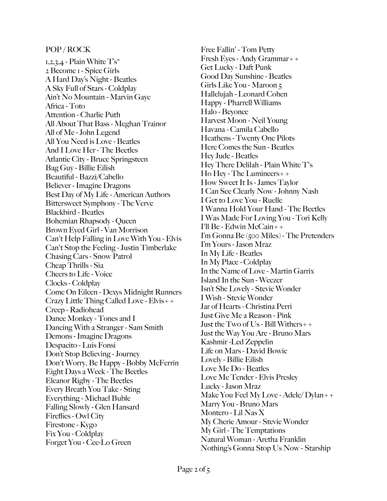#### POP / ROCK

 $1,2,3,4$  - Plain White  $T^s$ \* 2 Become 1 - Spice Girls A Hard Day's Night - Beatles A Sky Full of Stars - Coldplay Ain't No Mountain - Marvin Gaye Africa - Toto Attention - Charlie Puth All About That Bass - Meghan Trainor All of Me - John Legend All You Need is Love - Beatles And I Love Her - The Beetles Atlantic City - Bruce Springsteen Bag Guy - Billie Eilish Beautiful - Bazzi/Cabello Believer - Imagine Dragons Best Day of My Life - American Authors Bittersweet Symphony - The Verve Blackbird - Beatles Bohemian Rhapsody - Queen Brown Eyed Girl - Van Morrison Can't Help Falling in Love With You - Elvis Can't Stop the Feeling - Justin Timberlake Chasing Cars - Snow Patrol Cheap Thrills - Sia Cheers to Life - Voice Clocks - Coldplay Come On Eileen - Dexys Midnight Runners Crazy Little Thing Called Love - Elvis++ Creep - Radiohead Dance Monkey - Tones and I Dancing With a Stranger - Sam Smith Demons - Imagine Dragons Despacito - Luis Fonsi Don't Stop Believing - Journey Don't Worry, Be Happy - Bobby McFerrin Eight Days a Week - The Beetles Eleanor Rigby - The Beetles Every Breath You Take - Sting Everything - Michael Buble Falling Slowly - Glen Hansard Fireflies - Owl City Firestone - Kygo Fix You - Coldplay Forget You - Cee-Lo Green

Free Fallin' - Tom Petty Fresh Eyes - Andy Grammar++ Get Lucky - Daft Punk Good Day Sunshine - Beatles Girls Like You - Maroon 5 Hallelujah - Leonard Cohen Happy - Pharrell Williams Halo - Beyonce Harvest Moon - Neil Young Havana - Camila Cabello Heathens - Twenty One Pilots Here Comes the Sun - Beatles Hey Jude - Beatles Hey There Delilah - Plain White T's Ho Hey - The Lumineers++ How Sweet It Is - James Taylor I Can See Clearly Now - Johnny Nash I Get to Love You - Ruelle I Wanna Hold Your Hand - The Beetles I Was Made For Loving You - Tori Kelly I'll Be - Edwin McCain++ I'm Gonna Be (500 Miles) - The Pretenders I'm Yours - Jason Mraz In My Life - Beatles In My Place - Coldplay In the Name of Love - Martin Garrix Island In the Sun - Weezer Isn't She Lovely - Stevie Wonder I Wish - Stevie Wonder Jar of Hearts - Christina Perri Just Give Me a Reason - Pink Just the Two of Us - Bill Withers++ Just the Way You Are - Bruno Mars Kashmir -Led Zeppelin Life on Mars - David Bowie Lovely - Billie Eilish Love Me Do - Beatles Love Me Tender - Elvis Presley Lucky - Jason Mraz Make You Feel My Love - Adele/ Dylan++ Marry You - Bruno Mars Montero - Lil Nas X My Cherie Amour - Stevie Wonder My Girl - The Temptations Natural Woman - Aretha Franklin Nothing's Gonna Stop Us Now - Starship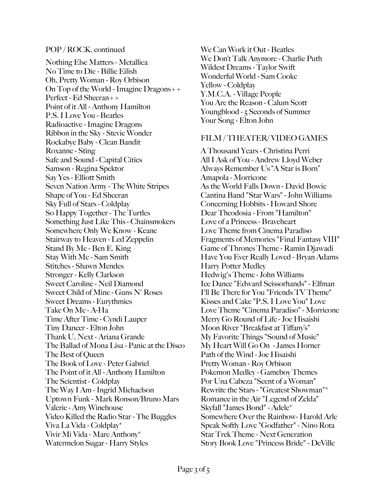#### POP / ROCK, continued

Nothing Else Matters - Metallica No Time to Die - Billie Eilish Oh, Pretty Woman - Roy Orbison On Top of the World - Imagine Dragons++ Perfect - Ed Sheeran++ Point of it All - Anthony Hamilton P.S. I Love You - Beatles Radioactive - Imagine Dragons Ribbon in the Sky - Stevie Wonder Rockabye Baby - Clean Bandit Roxanne - Sting Safe and Sound - Capital Cities Samson - Regina Spektor Say Yes - Elliott Smith Seven Nation Army - The White Stripes Shape of You - Ed Sheeran Sky Full of Stars - Coldplay So Happy Together - The Turtles Something Just Like This - Chainsmokers Somewhere Only We Know - Keane Stairway to Heaven - Led Zeppelin Stand By Me - Ben E. King Stay With Me - Sam Smith Stitches - Shawn Mendes Stronger - Kelly Clarkson Sweet Caroline - Neil Diamond Sweet Child of Mine - Guns N' Roses Sweet Dreams - Eurythmics Take On Me - A-Ha Time After Time - Cyndi Lauper Tiny Dancer - Elton John Thank U, Next - Ariana Grande The Ballad of Mona Lisa - Panic at the Disco The Best of Queen The Book of Love - Peter Gabriel The Point of it All - Anthony Hamilton The Scientist - Coldplay The Way I Am - Ingrid Michaelson Uptown Funk - Mark Ronson/Bruno Mars Valerie - Amy Winehouse Video Killed the Radio Star - The Buggles Viva La Vida - Coldplay\* Vivir Mi Vida - Marc Anthony\* Watermelon Sugar - Harry Styles

We Can Work it Out - Beatles We Don't Talk Anymore - Charlie Puth Wildest Dreams - Taylor Swift Wonderful World - Sam Cooke Yellow - Coldplay Y.M.C.A. - Village People You Are the Reason - Calum Scott Youngblood - 5 Seconds of Summer Your Song - Elton John

# FILM / THEATER/ VIDEO GAMES

A Thousand Years - Christina Perri All I Ask of You - Andrew Lloyd Weber Always Remember Us "A Star is Born" Amapola - Morricone As the World Falls Down - David Bowie Cantina Band "Star Wars" - John Williams Concerning Hobbits - Howard Shore Dear Theodosia - From "Hamilton" Love of a Princess - Braveheart Love Theme from Cinema Paradiso Fragments of Memories "Final Fantasy VIII" Game of Thrones Theme - Ramin Djawadi Have You Ever Really Loved - Bryan Adams Harry Potter Medley Hedwig's Theme - John Williams Ice Dance "Edward Scissorhands" - Elfman I'll Be There for You "Friends TV Theme" Kisses and Cake "P.S. I Love You" Love Love Theme "Cinema Paradiso" - Morricone Merry Go Round of Life - Joe Hisaishi Moon River "Breakfast at Tiffany's" My Favorite Things "Sound of Music" My Heart Will Go On - James Horner Path of the Wind - Joe Hisaishi Pretty Woman - Roy Orbison Pokemon Medley - Gameboy Themes Por Una Cabeza "Scent of a Woman" Rewrite the Stars - "Greatest Showman"\* Romance in the Air "Legend of Zelda" Skyfall "James Bond" - Adele\* Somewhere Over the Rainbow- Harold Arle Speak Softly Love "Godfather" - Nino Rota Star Trek Theme - Next Generation Story Book Love "Princess Bride" - DeVille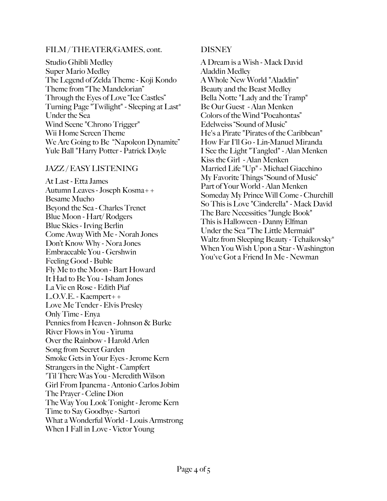# FILM / THEATER/GAMES, cont.

Studio Ghibli Medley Super Mario Medley The Legend of Zelda Theme - Koji Kondo Theme from "The Mandelorian" Through the Eyes of Love "Ice Castles" Turning Page "Twilight" - Sleeping at Last\* Under the Sea Wind Scene "Chrono Trigger" Wii Home Screen Theme We Are Going to Be "Napoleon Dynamite" Yule Ball "Harry Potter - Patrick Doyle

#### JAZZ / EASY LISTENING

At Last - Etta James Autumn Leaves - Joseph Kosma++ Besame Mucho Beyond the Sea - Charles Trenet Blue Moon - Hart/ Rodgers Blue Skies - Irving Berlin Come Away With Me - Norah Jones Don't Know Why - Nora Jones Embraceable You - Gershwin Feeling Good - Buble Fly Me to the Moon - Bart Howard It Had to Be You - Isham Jones La Vie en Rose - Edith Piaf L.O.V.E. - Kaempert++ Love Me Tender - Elvis Presley Only Time - Enya Pennies from Heaven - Johnson & Burke River Flows in You - Yiruma Over the Rainbow - Harold Arlen Song from Secret Garden Smoke Gets in Your Eyes - Jerome Kern Strangers in the Night - Campfert 'Til There Was You - Meredith Wilson Girl From Ipanema - Antonio Carlos Jobim The Prayer - Celine Dion The Way You Look Tonight - Jerome Kern Time to Say Goodbye - Sartori What a Wonderful World - Louis Armstrong When I Fall in Love - Victor Young

# **DISNEY**

A Dream is a Wish - Mack David Aladdin Medley A Whole New World "Aladdin" Beauty and the Beast Medley Bella Notte "Lady and the Tramp" Be Our Guest - Alan Menken Colors of the Wind "Pocahontas" Edelweiss "Sound of Music" He's a Pirate "Pirates of the Caribbean" How Far I'll Go - Lin-Manuel Miranda I See the Light "Tangled" - Alan Menken Kiss the Girl - Alan Menken Married Life "Up" - Michael Giacchino My Favorite Things "Sound of Music" Part of Your World - Alan Menken Someday My Prince Will Come - Churchill So This is Love "Cinderella" - Mack David The Bare Necessities "Jungle Book" This is Halloween - Danny Elfman Under the Sea "The Little Mermaid" Waltz from Sleeping Beauty - Tchaikovsky\* When You Wish Upon a Star - Washington You've Got a Friend In Me - Newman